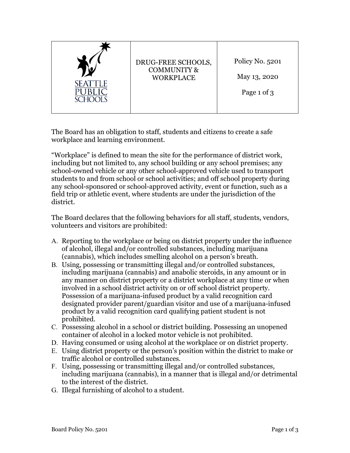| <b>SEATTLE</b> | DRUG-FREE SCHOOLS,<br><b>COMMUNITY &amp;</b><br><b>WORKPLACE</b> | Policy No. 5201<br>May 13, 2020<br>Page 1 of 3 |
|----------------|------------------------------------------------------------------|------------------------------------------------|
|----------------|------------------------------------------------------------------|------------------------------------------------|

The Board has an obligation to staff, students and citizens to create a safe workplace and learning environment.

"Workplace" is defined to mean the site for the performance of district work, including but not limited to, any school building or any school premises; any school-owned vehicle or any other school-approved vehicle used to transport students to and from school or school activities; and off school property during any school-sponsored or school-approved activity, event or function, such as a field trip or athletic event, where students are under the jurisdiction of the district.

The Board declares that the following behaviors for all staff, students, vendors, volunteers and visitors are prohibited:

- A. Reporting to the workplace or being on district property under the influence of alcohol, illegal and/or controlled substances, including marijuana (cannabis), which includes smelling alcohol on a person's breath.
- B. Using, possessing or transmitting illegal and/or controlled substances, including marijuana (cannabis) and anabolic steroids, in any amount or in any manner on district property or a district workplace at any time or when involved in a school district activity on or off school district property. Possession of a marijuana-infused product by a valid recognition card designated provider parent/guardian visitor and use of a marijuana-infused product by a valid recognition card qualifying patient student is not prohibited.
- C. Possessing alcohol in a school or district building. Possessing an unopened container of alcohol in a locked motor vehicle is not prohibited.
- D. Having consumed or using alcohol at the workplace or on district property.
- E. Using district property or the person's position within the district to make or traffic alcohol or controlled substances.
- F. Using, possessing or transmitting illegal and/or controlled substances, including marijuana (cannabis), in a manner that is illegal and/or detrimental to the interest of the district.
- G. Illegal furnishing of alcohol to a student.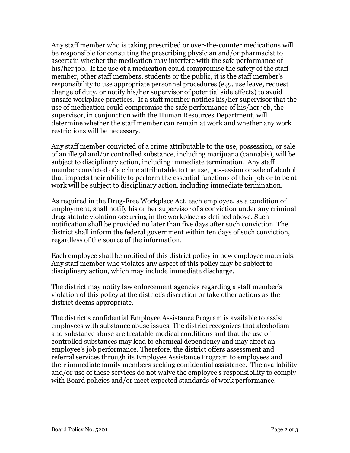Any staff member who is taking prescribed or over-the-counter medications will be responsible for consulting the prescribing physician and/or pharmacist to ascertain whether the medication may interfere with the safe performance of his/her job. If the use of a medication could compromise the safety of the staff member, other staff members, students or the public, it is the staff member's responsibility to use appropriate personnel procedures (e.g., use leave, request change of duty, or notify his/her supervisor of potential side effects) to avoid unsafe workplace practices. If a staff member notifies his/her supervisor that the use of medication could compromise the safe performance of his/her job, the supervisor, in conjunction with the Human Resources Department, will determine whether the staff member can remain at work and whether any work restrictions will be necessary.

Any staff member convicted of a crime attributable to the use, possession, or sale of an illegal and/or controlled substance, including marijuana (cannabis), will be subject to disciplinary action, including immediate termination. Any staff member convicted of a crime attributable to the use, possession or sale of alcohol that impacts their ability to perform the essential functions of their job or to be at work will be subject to disciplinary action, including immediate termination.

As required in the Drug-Free Workplace Act, each employee, as a condition of employment, shall notify his or her supervisor of a conviction under any criminal drug statute violation occurring in the workplace as defined above. Such notification shall be provided no later than five days after such conviction. The district shall inform the federal government within ten days of such conviction, regardless of the source of the information.

Each employee shall be notified of this district policy in new employee materials. Any staff member who violates any aspect of this policy may be subject to disciplinary action, which may include immediate discharge.

The district may notify law enforcement agencies regarding a staff member's violation of this policy at the district's discretion or take other actions as the district deems appropriate.

The district's confidential Employee Assistance Program is available to assist employees with substance abuse issues. The district recognizes that alcoholism and substance abuse are treatable medical conditions and that the use of controlled substances may lead to chemical dependency and may affect an employee's job performance. Therefore, the district offers assessment and referral services through its Employee Assistance Program to employees and their immediate family members seeking confidential assistance. The availability and/or use of these services do not waive the employee's responsibility to comply with Board policies and/or meet expected standards of work performance.